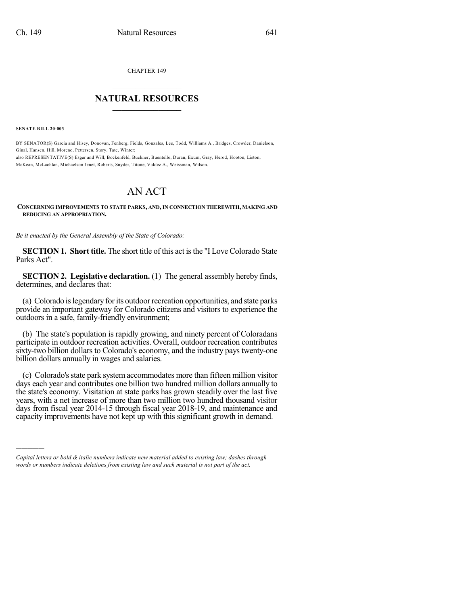CHAPTER 149

## $\mathcal{L}_\text{max}$  . The set of the set of the set of the set of the set of the set of the set of the set of the set of the set of the set of the set of the set of the set of the set of the set of the set of the set of the set **NATURAL RESOURCES**  $\frac{1}{\sqrt{2}}$  ,  $\frac{1}{\sqrt{2}}$  ,  $\frac{1}{\sqrt{2}}$  ,  $\frac{1}{\sqrt{2}}$  ,  $\frac{1}{\sqrt{2}}$  ,  $\frac{1}{\sqrt{2}}$

**SENATE BILL 20-003**

)))))

BY SENATOR(S) Garcia and Hisey, Donovan, Fenberg, Fields, Gonzales, Lee, Todd, Williams A., Bridges, Crowder, Danielson, Ginal, Hansen, Hill, Moreno, Pettersen, Story, Tate, Winter; also REPRESENTATIVE(S) Esgar and Will, Bockenfeld, Buckner, Buentello, Duran, Exum, Gray, Herod, Hooton, Liston, McKean, McLachlan, Michaelson Jenet, Roberts, Snyder, Titone, Valdez A., Weissman, Wilson.

## AN ACT

## **CONCERNING IMPROVEMENTS TO STATE PARKS, AND, IN CONNECTION THEREWITH, MAKING AND REDUCING AN APPROPRIATION.**

*Be it enacted by the General Assembly of the State of Colorado:*

**SECTION 1. Short title.** The short title of this act isthe "I Love Colorado State Parks Act".

**SECTION 2. Legislative declaration.** (1) The general assembly hereby finds, determines, and declares that:

(a) Colorado islegendary forits outdoorrecreation opportunities, and state parks provide an important gateway for Colorado citizens and visitors to experience the outdoors in a safe, family-friendly environment;

(b) The state's population is rapidly growing, and ninety percent of Coloradans participate in outdoor recreation activities. Overall, outdoor recreation contributes sixty-two billion dollars to Colorado's economy, and the industry pays twenty-one billion dollars annually in wages and salaries.

(c) Colorado'sstate park system accommodates more than fifteen million visitor days each year and contributes one billion two hundred million dollars annually to the state's economy. Visitation at state parks has grown steadily over the last five years, with a net increase of more than two million two hundred thousand visitor days from fiscal year 2014-15 through fiscal year 2018-19, and maintenance and capacity improvements have not kept up with this significant growth in demand.

*Capital letters or bold & italic numbers indicate new material added to existing law; dashes through words or numbers indicate deletions from existing law and such material is not part of the act.*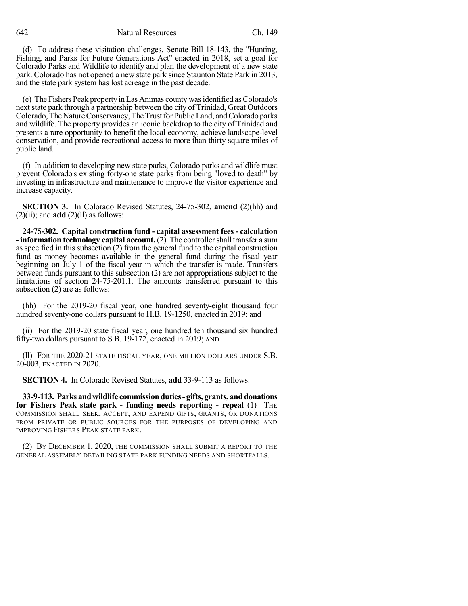642 Natural Resources Ch. 149

(d) To address these visitation challenges, Senate Bill 18-143, the "Hunting, Fishing, and Parks for Future Generations Act" enacted in 2018, set a goal for Colorado Parks and Wildlife to identify and plan the development of a new state park. Colorado has not opened a new state park since Staunton State Park in 2013, and the state park system has lost acreage in the past decade.

(e) The Fishers Peak property in Las Animas county wasidentified asColorado's next state park through a partnership between the city of Trinidad, Great Outdoors Colorado, The Nature Conservancy, The Trust for Public Land, and Colorado parks and wildlife. The property provides an iconic backdrop to the city of Trinidad and presents a rare opportunity to benefit the local economy, achieve landscape-level conservation, and provide recreational access to more than thirty square miles of public land.

(f) In addition to developing new state parks, Colorado parks and wildlife must prevent Colorado's existing forty-one state parks from being "loved to death" by investing in infrastructure and maintenance to improve the visitor experience and increase capacity.

**SECTION 3.** In Colorado Revised Statutes, 24-75-302, **amend** (2)(hh) and  $(2)(ii)$ ; and **add**  $(2)(11)$  as follows:

**24-75-302. Capital construction fund - capital assessment fees- calculation - information technology capital account.** (2) The controllershall transfer a sum as specified in this subsection (2) from the general fund to the capital construction fund as money becomes available in the general fund during the fiscal year beginning on July 1 of the fiscal year in which the transfer is made. Transfers between funds pursuant to this subsection (2) are not appropriations subject to the limitations of section 24-75-201.1. The amounts transferred pursuant to this subsection (2) are as follows:

(hh) For the 2019-20 fiscal year, one hundred seventy-eight thousand four hundred seventy-one dollars pursuant to H.B. 19-1250, enacted in 2019; and

(ii) For the 2019-20 state fiscal year, one hundred ten thousand six hundred fifty-two dollars pursuant to S.B. 19-172, enacted in 2019; AND

(ll) FOR THE 2020-21 STATE FISCAL YEAR, ONE MILLION DOLLARS UNDER S.B. 20-003, ENACTED IN 2020.

**SECTION 4.** In Colorado Revised Statutes, **add** 33-9-113 as follows:

**33-9-113. Parks andwildlife commissionduties- gifts, grants, and donations for Fishers Peak state park - funding needs reporting - repeal** (1) THE COMMISSION SHALL SEEK, ACCEPT, AND EXPEND GIFTS, GRANTS, OR DONATIONS FROM PRIVATE OR PUBLIC SOURCES FOR THE PURPOSES OF DEVELOPING AND IMPROVING FISHERS PEAK STATE PARK.

(2) BY DECEMBER 1, 2020, THE COMMISSION SHALL SUBMIT A REPORT TO THE GENERAL ASSEMBLY DETAILING STATE PARK FUNDING NEEDS AND SHORTFALLS.